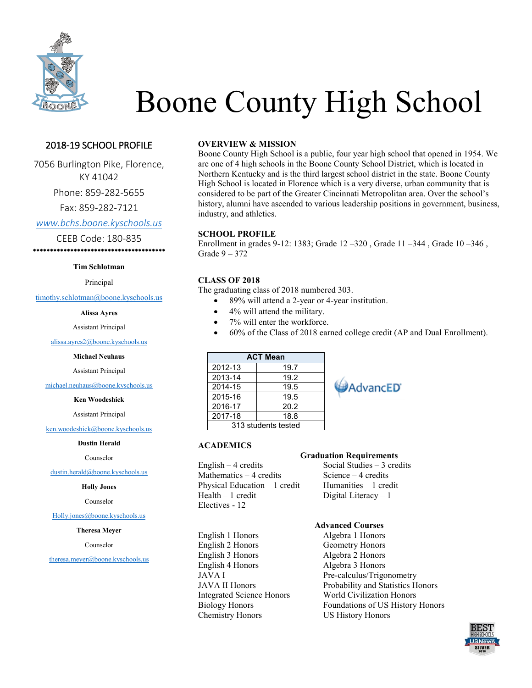

# Boone County High School

## 2018-19 SCHOOL PROFILE

7056 Burlington Pike, Florence, KY 41042

Phone: 859-282-5655

Fax: 859-282-7121

*[www.bchs.boone.kyschools.us](file://///E035DFS/Level%202/alissa.ayres/2017%202019/Seniors/www.bchs.boone.kyschools.us)*

CEEB Code: 180-835

\*\*\*\*\*\*\*\*\*\*\*\*\*\*\*\*\*\*\*\*\*\*\*\*\*\*\*\*\*\*\*\*\*\*\*\*\*\*\*

#### **Tim Schlotman**

Principal

[timothy.schlotman@boone.kyschools.us](mailto:timothy.schlotman@boone.kyschools.us)

**Alissa Ayres**

Assistant Principal

[alissa.ayres2@boone.kyschools.us](mailto:alissa.ayres2@boone.kyschools.us)

**Michael Neuhaus**

Assistant Principal

[michael.neuhaus@boone.kyschools.us](mailto:michael.neuhaus@boone.kyschools.us)

#### **Ken Woodeshick**

Assistant Principal

[ken.woodeshick@boone.kyschools.us](mailto:ken.woodeshick@boone.kyschools.us)

#### **Dustin Herald**

Counselor

[dustin.herald@boone.kyschools.us](mailto:dustin.herald@boone.kyschools.us)

#### **Holly Jones**

Counselor

[Holly.jones@boone.kyschools.us](mailto:Holly.jones@boone.kyschools.us)

#### **Theresa Meyer**

Counselor

[theresa.meyer@boone.kyschools.us](file://///E035DFS/Level%202/alissa.ayres/2017%202019/Seniors/theresa.meyer@boone.kyschools.us)

### **OVERVIEW & MISSION**

Boone County High School is a public, four year high school that opened in 1954. We are one of 4 high schools in the Boone County School District, which is located in Northern Kentucky and is the third largest school district in the state. Boone County High School is located in Florence which is a very diverse, urban community that is considered to be part of the Greater Cincinnati Metropolitan area. Over the school's history, alumni have ascended to various leadership positions in government, business, industry, and athletics.

#### **SCHOOL PROFILE**

Enrollment in grades 9-12: 1383; Grade 12 –320 , Grade 11 –344 , Grade 10 –346 , Grade 9 – 372

#### **CLASS OF 2018**

**ACADEMICS**

The graduating class of 2018 numbered 303.

- 89% will attend a 2-year or 4-year institution.
- 4% will attend the military.
- 7% will enter the workforce.
- 60% of the Class of 2018 earned college credit (AP and Dual Enrollment).

**AdvancED** 

| <b>ACT Mean</b>     |      |  |
|---------------------|------|--|
| 2012-13             | 19.7 |  |
| 2013-14             | 19.2 |  |
| 2014-15             | 19.5 |  |
| 2015-16             | 19.5 |  |
| 2016-17             | 20.2 |  |
| 2017-18             | 18.8 |  |
| 313 students tested |      |  |

#### **Graduation Requirements**

English – 4 credits Social Studies – 3 credits Mathematics  $-4$  credits Science  $-4$  credits Physical Education  $-1$  credit Humanities  $-1$  credit  $Health - 1 credit$  Digital Literacy  $-1$ Electives - 12

English 1 Honors Algebra 1 Honors English 2 Honors Geometry Honors English 3 Honors Algebra 2 Honors English 4 Honors Algebra 3 Honors Chemistry Honors US History Honors

### **Advanced Courses**

JAVA I Pre-calculus/Trigonometry JAVA II Honors Probability and Statistics Honors Integrated Science Honors World Civilization Honors Biology Honors Foundations of US History Honors